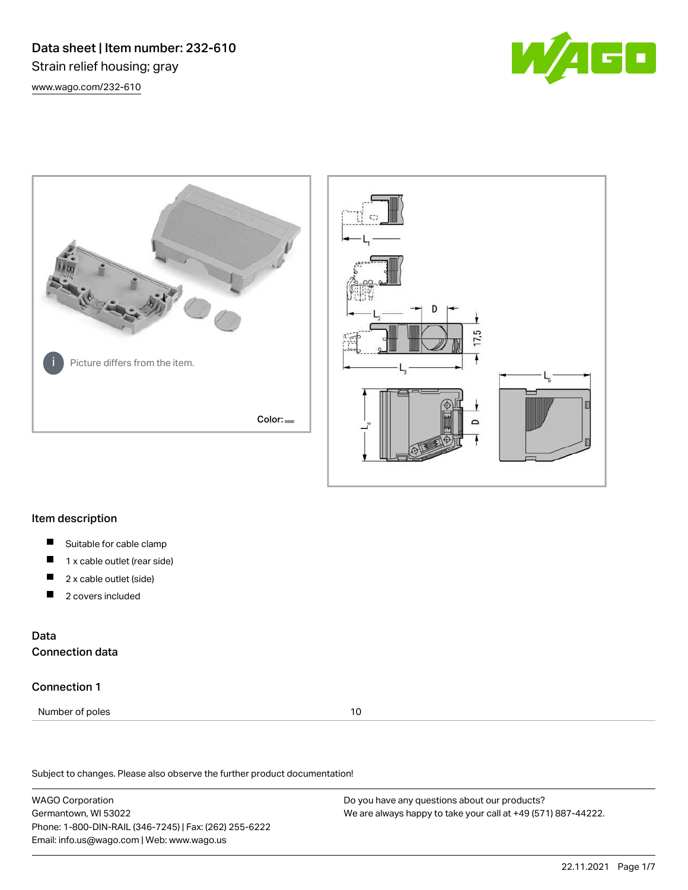Data sheet | Item number: 232-610 Strain relief housing; gray [www.wago.com/232-610](http://www.wago.com/232-610)







## Item description

- $\blacksquare$ Suitable for cable clamp
- П 1 x cable outlet (rear side)
- П 2 x cable outlet (side)
- 2 covers included П

## Data Connection data

## Connection 1

Number of poles 10

Subject to changes. Please also observe the further product documentation!

WAGO Corporation Germantown, WI 53022 Phone: 1-800-DIN-RAIL (346-7245) | Fax: (262) 255-6222 Email: info.us@wago.com | Web: www.wago.us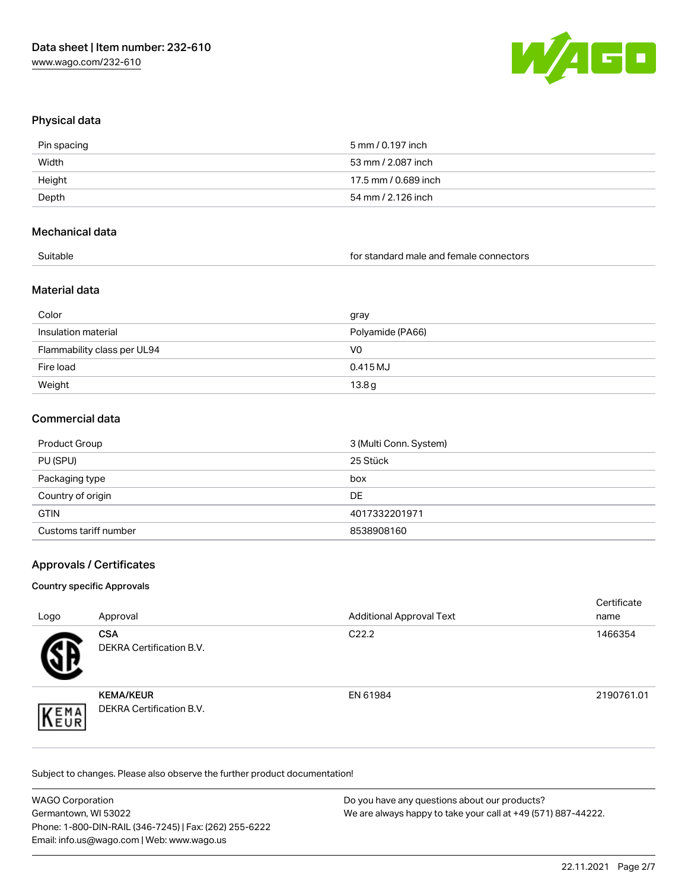

## Physical data

| Pin spacing | 5 mm / 0.197 inch    |
|-------------|----------------------|
| Width       | 53 mm / 2.087 inch   |
| Height      | 17.5 mm / 0.689 inch |
| Depth       | 54 mm / 2.126 inch   |
|             |                      |

## Mechanical data

for standard male and female connectors

## Material data

| Color                       | gray             |
|-----------------------------|------------------|
| Insulation material         | Polyamide (PA66) |
| Flammability class per UL94 | V0               |
| Fire load                   | 0.415 MJ         |
| Weight                      | 13.8g            |

## Commercial data

| Product Group         | 3 (Multi Conn. System) |
|-----------------------|------------------------|
| PU (SPU)              | 25 Stück               |
| Packaging type        | box                    |
| Country of origin     | DE                     |
| <b>GTIN</b>           | 4017332201971          |
| Customs tariff number | 8538908160             |

## Approvals / Certificates

### Country specific Approvals

| Logo | Approval                                            | <b>Additional Approval Text</b> | Certificate<br>name |
|------|-----------------------------------------------------|---------------------------------|---------------------|
|      | <b>CSA</b><br>DEKRA Certification B.V.              | C <sub>22.2</sub>               | 1466354             |
| EMA  | <b>KEMA/KEUR</b><br><b>DEKRA Certification B.V.</b> | EN 61984                        | 2190761.01          |

Subject to changes. Please also observe the further product documentation!

| <b>WAGO Corporation</b>                                | Do you have any questions about our products?                 |
|--------------------------------------------------------|---------------------------------------------------------------|
| Germantown, WI 53022                                   | We are always happy to take your call at +49 (571) 887-44222. |
| Phone: 1-800-DIN-RAIL (346-7245)   Fax: (262) 255-6222 |                                                               |
| Email: info.us@wago.com   Web: www.wago.us             |                                                               |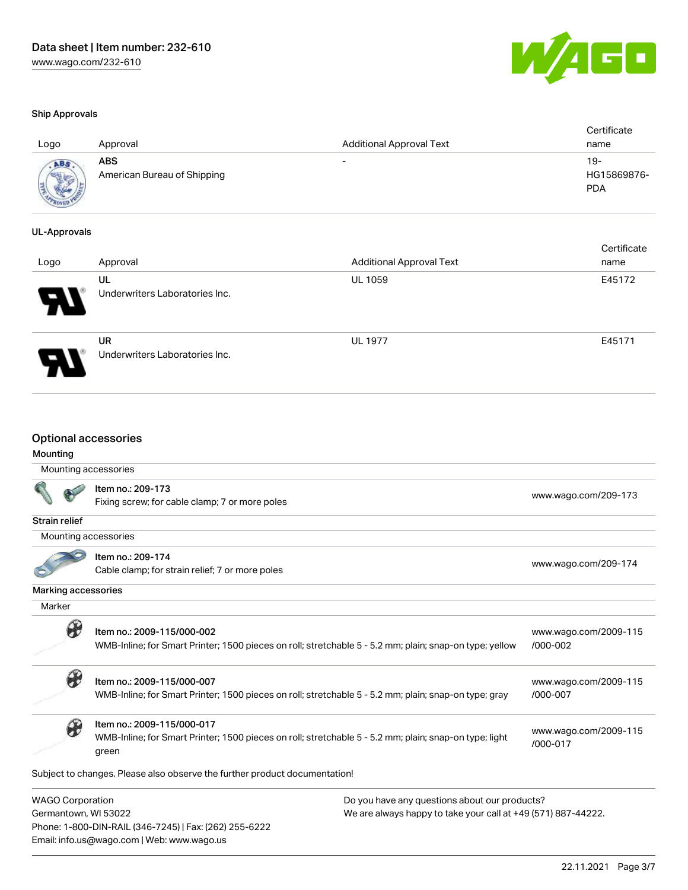Email: info.us@wago.com | Web: www.wago.us



| - 12<br>M.<br>- 4 | and the second |  |
|-------------------|----------------|--|
|                   |                |  |

| Logo               | Approval                                  | <b>Additional Approval Text</b> | Certificate<br>name              |
|--------------------|-------------------------------------------|---------------------------------|----------------------------------|
| AB.<br><b>USED</b> | <b>ABS</b><br>American Bureau of Shipping | $\overline{\phantom{0}}$        | 19-<br>HG15869876-<br><b>PDA</b> |

### UL-Approvals

м

| Logo                       | Approval                             | <b>Additional Approval Text</b> | Certificate<br>name |
|----------------------------|--------------------------------------|---------------------------------|---------------------|
| $\boldsymbol{\mathcal{P}}$ | UL<br>Underwriters Laboratories Inc. | <b>UL 1059</b>                  | E45172              |
|                            | UR<br>Underwriters Laboratories Inc. | <b>UL 1977</b>                  | E45171              |

|                         | <b>Optional accessories</b>                                                                                                                               |                                                               |                                   |
|-------------------------|-----------------------------------------------------------------------------------------------------------------------------------------------------------|---------------------------------------------------------------|-----------------------------------|
| Mounting                |                                                                                                                                                           |                                                               |                                   |
|                         | Mounting accessories                                                                                                                                      |                                                               |                                   |
|                         | Item no.: 209-173<br>Fixing screw; for cable clamp; 7 or more poles                                                                                       |                                                               | www.wago.com/209-173              |
| <b>Strain relief</b>    |                                                                                                                                                           |                                                               |                                   |
|                         | Mounting accessories                                                                                                                                      |                                                               |                                   |
|                         | Item no.: 209-174<br>Cable clamp; for strain relief; 7 or more poles                                                                                      |                                                               | www.wago.com/209-174              |
| Marking accessories     |                                                                                                                                                           |                                                               |                                   |
| Marker                  |                                                                                                                                                           |                                                               |                                   |
|                         | Item no.: 2009-115/000-002<br>WMB-Inline; for Smart Printer; 1500 pieces on roll; stretchable 5 - 5.2 mm; plain; snap-on type; yellow                     |                                                               | www.wago.com/2009-115<br>/000-002 |
| B                       | Item no.: 2009-115/000-007<br>WMB-Inline; for Smart Printer; 1500 pieces on roll; stretchable 5 - 5.2 mm; plain; snap-on type; gray                       |                                                               | www.wago.com/2009-115<br>/000-007 |
|                         | Item no.: 2009-115/000-017<br>WMB-Inline; for Smart Printer; 1500 pieces on roll; stretchable 5 - 5.2 mm; plain; snap-on type; light<br>/000-017<br>green |                                                               | www.wago.com/2009-115             |
|                         | Subject to changes. Please also observe the further product documentation!                                                                                |                                                               |                                   |
| <b>WAGO Corporation</b> |                                                                                                                                                           | Do you have any questions about our products?                 |                                   |
| Germantown, WI 53022    | Phone: 1-800-DIN-RAIL (346-7245)   Fax: (262) 255-6222                                                                                                    | We are always happy to take your call at +49 (571) 887-44222. |                                   |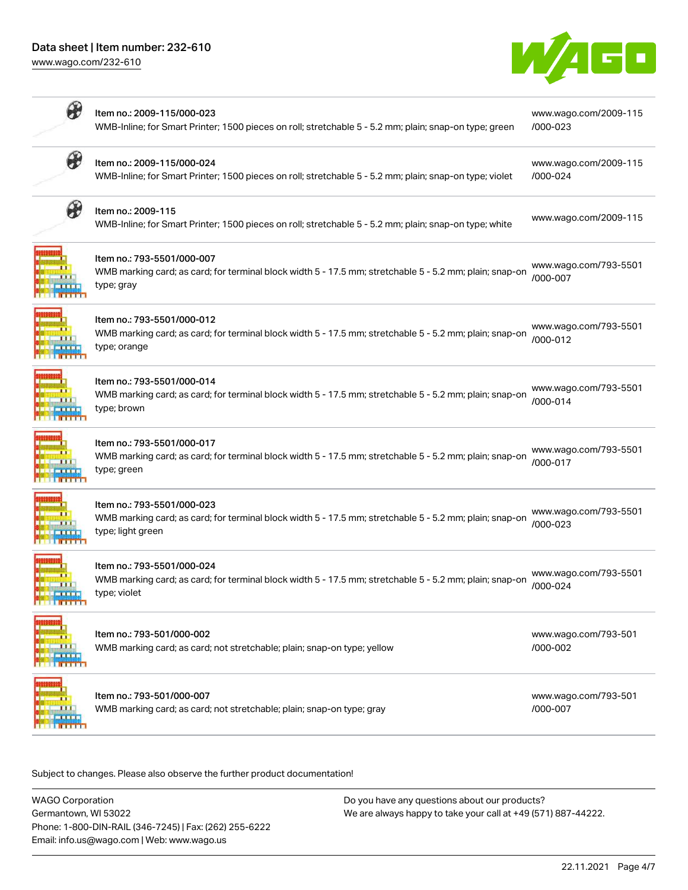## Data sheet | Item number: 232-610

[www.wago.com/232-610](http://www.wago.com/232-610)



| $\circledast$                        | Item no.: 2009-115/000-023<br>WMB-Inline; for Smart Printer; 1500 pieces on roll; stretchable 5 - 5.2 mm; plain; snap-on type; green                       | www.wago.com/2009-115<br>/000-023 |
|--------------------------------------|------------------------------------------------------------------------------------------------------------------------------------------------------------|-----------------------------------|
| ₩                                    | Item no.: 2009-115/000-024<br>WMB-Inline; for Smart Printer; 1500 pieces on roll; stretchable 5 - 5.2 mm; plain; snap-on type; violet                      | www.wago.com/2009-115<br>/000-024 |
| ₩                                    | Item no.: 2009-115<br>WMB-Inline; for Smart Printer; 1500 pieces on roll; stretchable 5 - 5.2 mm; plain; snap-on type; white                               | www.wago.com/2009-115             |
|                                      | Item no.: 793-5501/000-007<br>WMB marking card; as card; for terminal block width 5 - 17.5 mm; stretchable 5 - 5.2 mm; plain; snap-on<br>type; gray        | www.wago.com/793-5501<br>/000-007 |
|                                      | Item no.: 793-5501/000-012<br>WMB marking card; as card; for terminal block width 5 - 17.5 mm; stretchable 5 - 5.2 mm; plain; snap-on<br>type; orange      | www.wago.com/793-5501<br>/000-012 |
|                                      | Item no.: 793-5501/000-014<br>WMB marking card; as card; for terminal block width 5 - 17.5 mm; stretchable 5 - 5.2 mm; plain; snap-on<br>type; brown       | www.wago.com/793-5501<br>/000-014 |
|                                      | Item no.: 793-5501/000-017<br>WMB marking card; as card; for terminal block width 5 - 17.5 mm; stretchable 5 - 5.2 mm; plain; snap-on<br>type; green       | www.wago.com/793-5501<br>/000-017 |
|                                      | Item no.: 793-5501/000-023<br>WMB marking card; as card; for terminal block width 5 - 17.5 mm; stretchable 5 - 5.2 mm; plain; snap-on<br>type; light green | www.wago.com/793-5501<br>/000-023 |
| <b>MENERAL</b><br><b>BEER BEEFER</b> | Item no.: 793-5501/000-024<br>WMB marking card; as card; for terminal block width 5 - 17.5 mm; stretchable 5 - 5.2 mm; plain; snap-on<br>type; violet      | www.wago.com/793-5501<br>/000-024 |
|                                      | Item no.: 793-501/000-002<br>WMB marking card; as card; not stretchable; plain; snap-on type; yellow                                                       | www.wago.com/793-501<br>/000-002  |
|                                      | Item no.: 793-501/000-007<br>WMB marking card; as card; not stretchable; plain; snap-on type; gray                                                         | www.wago.com/793-501<br>/000-007  |

Subject to changes. Please also observe the further product documentation!

| <b>WAGO Corporation</b>                                | Do you have any questions about our products?                 |
|--------------------------------------------------------|---------------------------------------------------------------|
| Germantown, WI 53022                                   | We are always happy to take your call at +49 (571) 887-44222. |
| Phone: 1-800-DIN-RAIL (346-7245)   Fax: (262) 255-6222 |                                                               |
| Email: info.us@wago.com   Web: www.wago.us             |                                                               |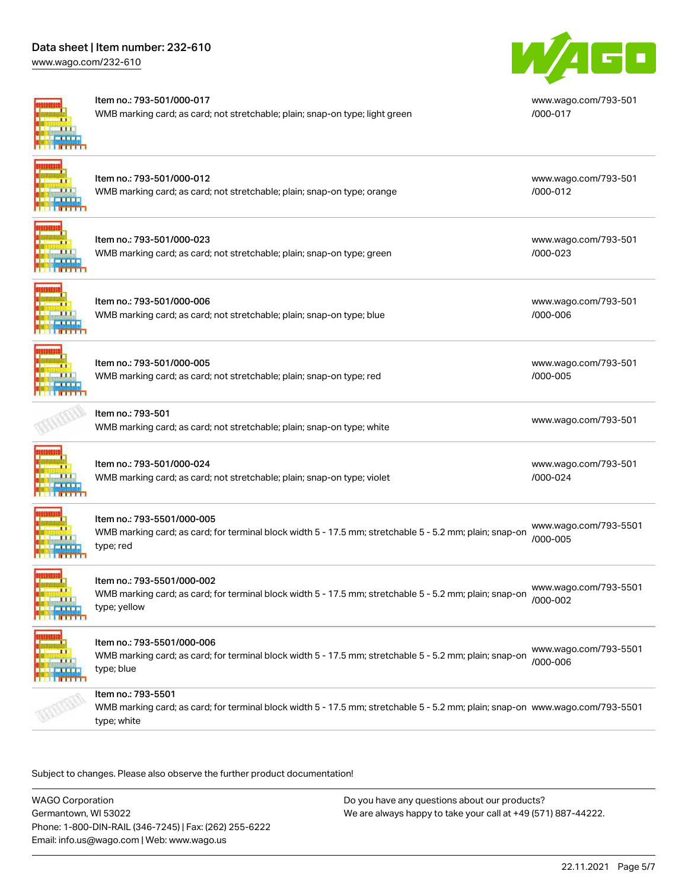## Data sheet | Item number: 232-610

[www.wago.com/232-610](http://www.wago.com/232-610)



#### Item no.: 793-501/000-017

WMB marking card; as card; not stretchable; plain; snap-on type; light green



[www.wago.com/793-501](http://www.wago.com/793-501/000-017) [/000-017](http://www.wago.com/793-501/000-017)

## Item no.: 793-501/000-012 WMB marking card; as card; not stretchable; plain; snap-on type; orange

Item no.: 793-501/000-023 WMB marking card; as card; not stretchable; plain; snap-on type; green [www.wago.com/793-501](http://www.wago.com/793-501/000-023)

[www.wago.com/793-501](http://www.wago.com/793-501/000-006)

[www.wago.com/793-501](http://www.wago.com/793-501/000-005)

[www.wago.com/793-501](http://www.wago.com/793-501/000-024)

[www.wago.com/793-501](http://www.wago.com/793-501/000-012)

[/000-012](http://www.wago.com/793-501/000-012)

[/000-023](http://www.wago.com/793-501/000-023)

[/000-006](http://www.wago.com/793-501/000-006)

[/000-005](http://www.wago.com/793-501/000-005)

[/000-024](http://www.wago.com/793-501/000-024)

**TITLE TITT** 

Item no.: 793-501/000-006 WMB marking card; as card; not stretchable; plain; snap-on type; blue

Item no.: 793-501/000-005 WMB marking card; as card; not stretchable; plain; snap-on type; red



## Item no.: 793-501

[www.wago.com/793-501](http://www.wago.com/793-501).<br>WMB marking card; as card; not stretchable; plain; snap-on type; white



# Item no.: 793-501/000-024

WMB marking card; as card; not stretchable; plain; snap-on type; violet



## Item no.: 793-5501/000-005

WMB marking card; as card; for terminal block width 5 - 17.5 mm; stretchable 5 - 5.2 mm; plain; snap-on type; red [www.wago.com/793-5501](http://www.wago.com/793-5501/000-005) [/000-005](http://www.wago.com/793-5501/000-005)



## Item no.: 793-5501/000-002

WMB marking card; as card; for terminal block width 5 - 17.5 mm; stretchable 5 - 5.2 mm; plain; snap-on type; yellow [www.wago.com/793-5501](http://www.wago.com/793-5501/000-002) [/000-002](http://www.wago.com/793-5501/000-002)



## Item no.: 793-5501/000-006

WMB marking card; as card; for terminal block width 5 - 17.5 mm; stretchable 5 - 5.2 mm; plain; snap-on type; blue [www.wago.com/793-5501](http://www.wago.com/793-5501/000-006) [/000-006](http://www.wago.com/793-5501/000-006)

## Item no.: 793-5501

WMB marking card; as card; for terminal block width 5 - 17.5 mm; stretchable 5 - 5.2 mm; plain; snap-on [www.wago.com/793-5501](http://www.wago.com/793-5501) type; white

Subject to changes. Please also observe the further product documentation!

WAGO Corporation Germantown, WI 53022 Phone: 1-800-DIN-RAIL (346-7245) | Fax: (262) 255-6222 Email: info.us@wago.com | Web: www.wago.us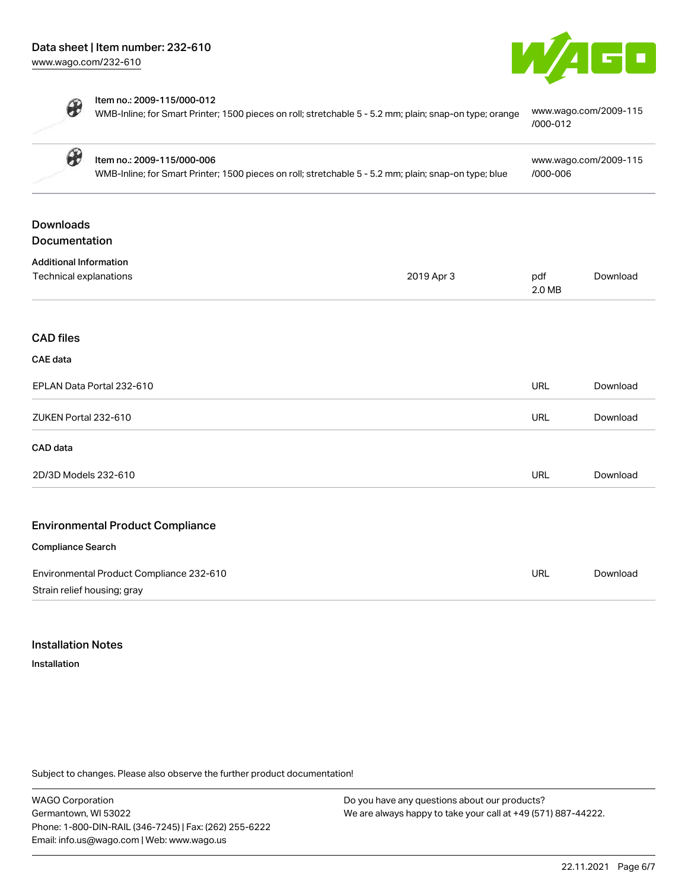

⊕

| $\circledast$ | Item no.: 2009-115/000-006                                                                                                            | www.wago.com/2009-115                 |
|---------------|---------------------------------------------------------------------------------------------------------------------------------------|---------------------------------------|
| $\circledast$ | Item no.: 2009-115/000-012<br>WMB-Inline; for Smart Printer; 1500 pieces on roll; stretchable 5 - 5.2 mm; plain; snap-on type; orange | www.wago.com/2009-115<br>$/000 - 012$ |

| WMB-Inline; for Smart Printer; 1500 pieces on roll; stretchable 5 - 5.2 mm; plain; snap-on type; blue |            | /000-006      |          |
|-------------------------------------------------------------------------------------------------------|------------|---------------|----------|
| <b>Downloads</b>                                                                                      |            |               |          |
| Documentation                                                                                         |            |               |          |
| <b>Additional Information</b>                                                                         |            |               |          |
| Technical explanations                                                                                | 2019 Apr 3 | pdf<br>2.0 MB | Download |
| <b>CAD files</b>                                                                                      |            |               |          |
| CAE data                                                                                              |            |               |          |
| EPLAN Data Portal 232-610                                                                             |            | <b>URL</b>    | Download |
| ZUKEN Portal 232-610                                                                                  |            | <b>URL</b>    | Download |
| CAD data                                                                                              |            |               |          |
| 2D/3D Models 232-610                                                                                  |            | <b>URL</b>    | Download |
| <b>Environmental Product Compliance</b>                                                               |            |               |          |
| <b>Compliance Search</b>                                                                              |            |               |          |
| Environmental Product Compliance 232-610                                                              |            | <b>URL</b>    | Download |
| Strain relief housing; gray                                                                           |            |               |          |

## Installation Notes

Installation

Subject to changes. Please also observe the further product documentation!

WAGO Corporation Germantown, WI 53022 Phone: 1-800-DIN-RAIL (346-7245) | Fax: (262) 255-6222 Email: info.us@wago.com | Web: www.wago.us